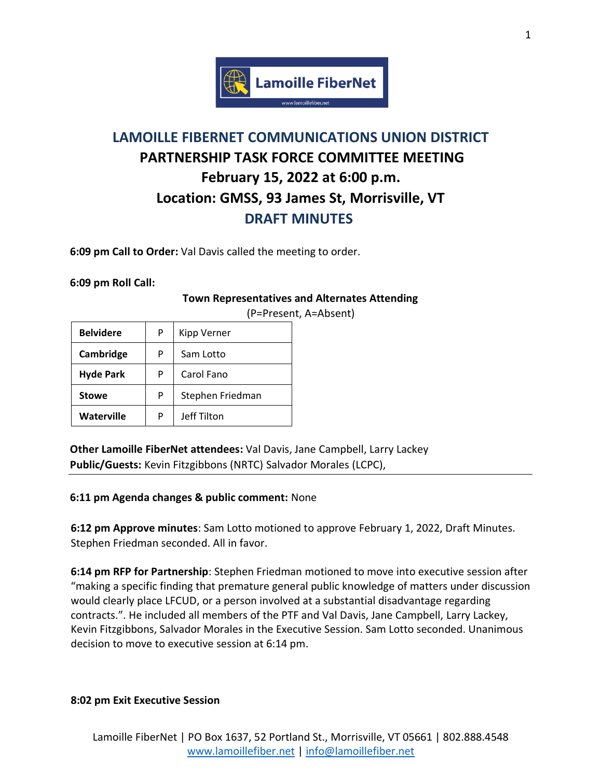

## **LAMOILLE FIBERNET COMMUNICATIONS UNION DISTRICT PARTNERSHIP TASK FORCE COMMITTEE MEETING February 15, 2022 at 6:00 p.m. Location: GMSS, 93 James St, Morrisville, VT DRAFT MINUTES**

**6:09 pm Call to Order:** Val Davis called the meeting to order.

**6:09 pm Roll Call:** 

## **Town Representatives and Alternates Attending**

| <b>Belvidere</b> | P | Kipp Verner      |
|------------------|---|------------------|
| Cambridge        | P | Sam Lotto        |
| <b>Hyde Park</b> | P | Carol Fano       |
| <b>Stowe</b>     | P | Stephen Friedman |
| Waterville       | P | Jeff Tilton      |

(P=Present, A=Absent)

**Other Lamoille FiberNet attendees:** Val Davis, Jane Campbell, Larry Lackey **Public/Guests:** Kevin Fitzgibbons (NRTC) Salvador Morales (LCPC),

## **6:11 pm Agenda changes & public comment:** None

**6:12 pm Approve minutes**: Sam Lotto motioned to approve February 1, 2022, Draft Minutes. Stephen Friedman seconded. All in favor.

**6:14 pm RFP for Partnership**: Stephen Friedman motioned to move into executive session after "making a specific finding that premature general public knowledge of matters under discussion would clearly place LFCUD, or a person involved at a substantial disadvantage regarding contracts.". He included all members of the PTF and Val Davis, Jane Campbell, Larry Lackey, Kevin Fitzgibbons, Salvador Morales in the Executive Session. Sam Lotto seconded. Unanimous decision to move to executive session at 6:14 pm.

## **8:02 pm Exit Executive Session**